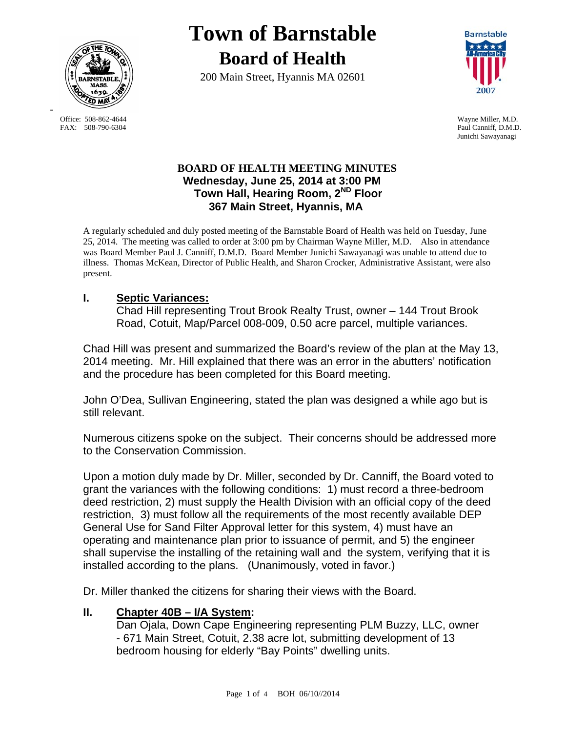

FAX: 508-790-6304 Paul Canniff, D.M.D.

-

# **Town of Barnstable Board of Health**

200 Main Street, Hyannis MA 02601



 Office: 508-862-4644 Wayne Miller, M.D. Junichi Sawayanagi

## **BOARD OF HEALTH MEETING MINUTES Wednesday, June 25, 2014 at 3:00 PM Town Hall, Hearing Room, 2ND Floor 367 Main Street, Hyannis, MA**

A regularly scheduled and duly posted meeting of the Barnstable Board of Health was held on Tuesday, June 25, 2014. The meeting was called to order at 3:00 pm by Chairman Wayne Miller, M.D. Also in attendance was Board Member Paul J. Canniff, D.M.D. Board Member Junichi Sawayanagi was unable to attend due to illness. Thomas McKean, Director of Public Health, and Sharon Crocker, Administrative Assistant, were also present.

# **I. Septic Variances:**

Chad Hill representing Trout Brook Realty Trust, owner – 144 Trout Brook Road, Cotuit, Map/Parcel 008-009, 0.50 acre parcel, multiple variances.

Chad Hill was present and summarized the Board's review of the plan at the May 13, 2014 meeting. Mr. Hill explained that there was an error in the abutters' notification and the procedure has been completed for this Board meeting.

John O'Dea, Sullivan Engineering, stated the plan was designed a while ago but is still relevant.

Numerous citizens spoke on the subject. Their concerns should be addressed more to the Conservation Commission.

Upon a motion duly made by Dr. Miller, seconded by Dr. Canniff, the Board voted to grant the variances with the following conditions: 1) must record a three-bedroom deed restriction, 2) must supply the Health Division with an official copy of the deed restriction, 3) must follow all the requirements of the most recently available DEP General Use for Sand Filter Approval letter for this system, 4) must have an operating and maintenance plan prior to issuance of permit, and 5) the engineer shall supervise the installing of the retaining wall and the system, verifying that it is installed according to the plans. (Unanimously, voted in favor.)

Dr. Miller thanked the citizens for sharing their views with the Board.

# **II. Chapter 40B – I/A System:**

Dan Ojala, Down Cape Engineering representing PLM Buzzy, LLC, owner - 671 Main Street, Cotuit, 2.38 acre lot, submitting development of 13 bedroom housing for elderly "Bay Points" dwelling units.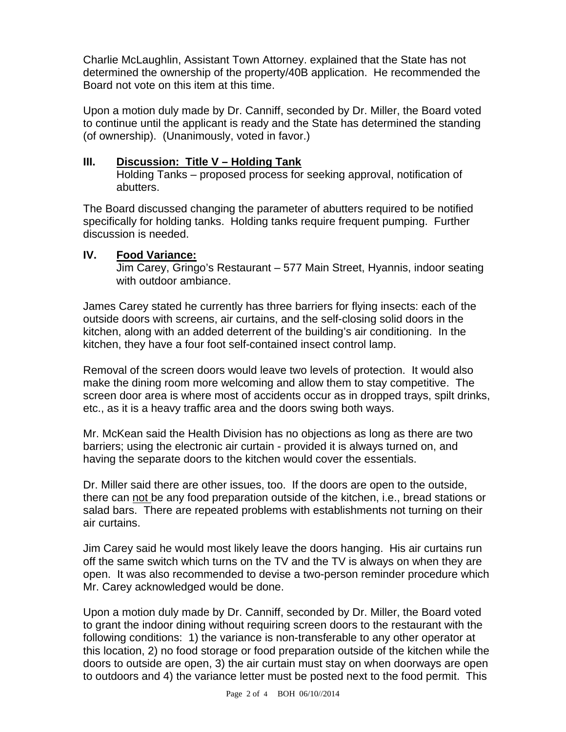Charlie McLaughlin, Assistant Town Attorney. explained that the State has not determined the ownership of the property/40B application. He recommended the Board not vote on this item at this time.

Upon a motion duly made by Dr. Canniff, seconded by Dr. Miller, the Board voted to continue until the applicant is ready and the State has determined the standing (of ownership). (Unanimously, voted in favor.)

## **III. Discussion: Title V – Holding Tank**

Holding Tanks – proposed process for seeking approval, notification of abutters.

The Board discussed changing the parameter of abutters required to be notified specifically for holding tanks. Holding tanks require frequent pumping. Further discussion is needed.

## **IV. Food Variance:**

Jim Carey, Gringo's Restaurant – 577 Main Street, Hyannis, indoor seating with outdoor ambiance.

James Carey stated he currently has three barriers for flying insects: each of the outside doors with screens, air curtains, and the self-closing solid doors in the kitchen, along with an added deterrent of the building's air conditioning. In the kitchen, they have a four foot self-contained insect control lamp.

Removal of the screen doors would leave two levels of protection. It would also make the dining room more welcoming and allow them to stay competitive. The screen door area is where most of accidents occur as in dropped trays, spilt drinks, etc., as it is a heavy traffic area and the doors swing both ways.

Mr. McKean said the Health Division has no objections as long as there are two barriers; using the electronic air curtain - provided it is always turned on, and having the separate doors to the kitchen would cover the essentials.

Dr. Miller said there are other issues, too. If the doors are open to the outside, there can not be any food preparation outside of the kitchen, i.e., bread stations or salad bars. There are repeated problems with establishments not turning on their air curtains.

Jim Carey said he would most likely leave the doors hanging. His air curtains run off the same switch which turns on the TV and the TV is always on when they are open. It was also recommended to devise a two-person reminder procedure which Mr. Carey acknowledged would be done.

Upon a motion duly made by Dr. Canniff, seconded by Dr. Miller, the Board voted to grant the indoor dining without requiring screen doors to the restaurant with the following conditions: 1) the variance is non-transferable to any other operator at this location, 2) no food storage or food preparation outside of the kitchen while the doors to outside are open, 3) the air curtain must stay on when doorways are open to outdoors and 4) the variance letter must be posted next to the food permit. This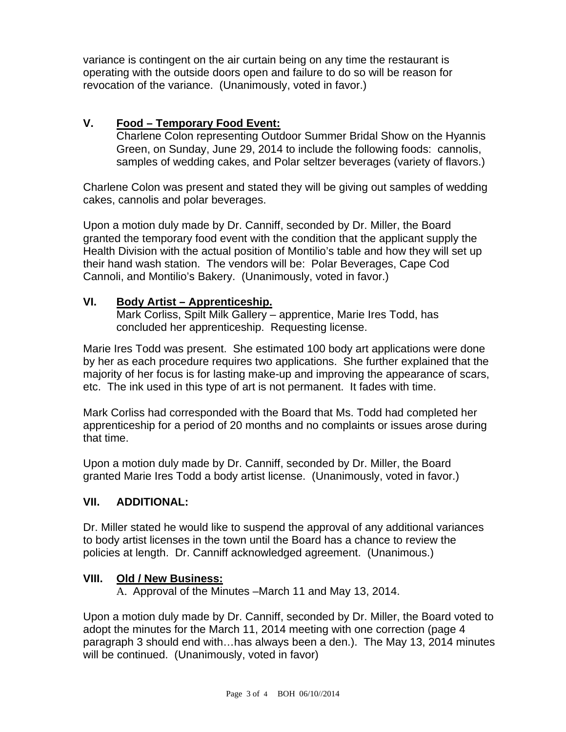variance is contingent on the air curtain being on any time the restaurant is operating with the outside doors open and failure to do so will be reason for revocation of the variance. (Unanimously, voted in favor.)

## **V. Food – Temporary Food Event:**

Charlene Colon representing Outdoor Summer Bridal Show on the Hyannis Green, on Sunday, June 29, 2014 to include the following foods: cannolis, samples of wedding cakes, and Polar seltzer beverages (variety of flavors.)

Charlene Colon was present and stated they will be giving out samples of wedding cakes, cannolis and polar beverages.

Upon a motion duly made by Dr. Canniff, seconded by Dr. Miller, the Board granted the temporary food event with the condition that the applicant supply the Health Division with the actual position of Montilio's table and how they will set up their hand wash station. The vendors will be: Polar Beverages, Cape Cod Cannoli, and Montilio's Bakery. (Unanimously, voted in favor.)

## **VI. Body Artist – Apprenticeship.**

Mark Corliss, Spilt Milk Gallery – apprentice, Marie Ires Todd, has concluded her apprenticeship. Requesting license.

Marie Ires Todd was present. She estimated 100 body art applications were done by her as each procedure requires two applications. She further explained that the majority of her focus is for lasting make-up and improving the appearance of scars, etc. The ink used in this type of art is not permanent. It fades with time.

Mark Corliss had corresponded with the Board that Ms. Todd had completed her apprenticeship for a period of 20 months and no complaints or issues arose during that time.

Upon a motion duly made by Dr. Canniff, seconded by Dr. Miller, the Board granted Marie Ires Todd a body artist license. (Unanimously, voted in favor.)

## **VII. ADDITIONAL:**

Dr. Miller stated he would like to suspend the approval of any additional variances to body artist licenses in the town until the Board has a chance to review the policies at length. Dr. Canniff acknowledged agreement. (Unanimous.)

## **VIII. Old / New Business:**

A. Approval of the Minutes –March 11 and May 13, 2014.

Upon a motion duly made by Dr. Canniff, seconded by Dr. Miller, the Board voted to adopt the minutes for the March 11, 2014 meeting with one correction (page 4 paragraph 3 should end with…has always been a den.). The May 13, 2014 minutes will be continued. (Unanimously, voted in favor)